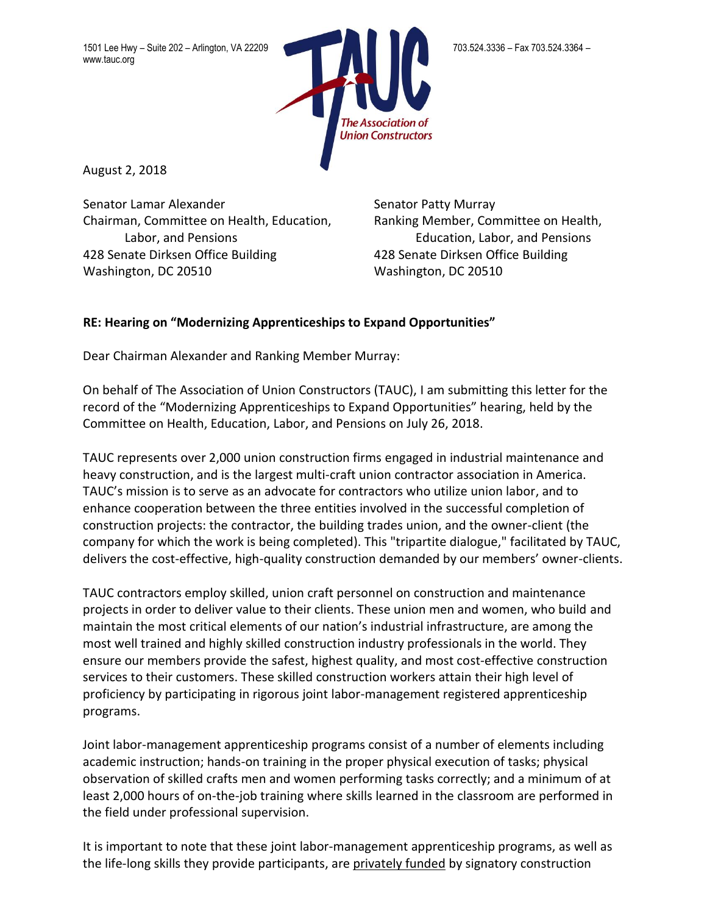1501 Lee Hwy – Suite 202 – Arlington, VA 22209 703.524.3366 – Fax 703.524.3336 – Fax 703.524.3364 – www.tauc.org



August 2, 2018

Senator Lamar Alexander Senator Patty Murray Chairman, Committee on Health, Education, Ranking Member, Committee on Health, 428 Senate Dirksen Office Building 428 Senate Dirksen Office Building Washington, DC 20510 Washington, DC 20510

Labor, and Pensions Education, Labor, and Pensions

## **RE: Hearing on "Modernizing Apprenticeships to Expand Opportunities"**

Dear Chairman Alexander and Ranking Member Murray:

On behalf of The Association of Union Constructors (TAUC), I am submitting this letter for the record of the "Modernizing Apprenticeships to Expand Opportunities" hearing, held by the Committee on Health, Education, Labor, and Pensions on July 26, 2018.

TAUC represents over 2,000 union construction firms engaged in industrial maintenance and heavy construction, and is the largest multi-craft union contractor association in America. TAUC's mission is to serve as an advocate for contractors who utilize union labor, and to enhance cooperation between the three entities involved in the successful completion of construction projects: the contractor, the building trades union, and the owner-client (the company for which the work is being completed). This "tripartite dialogue," facilitated by TAUC, delivers the cost-effective, high-quality construction demanded by our members' owner-clients.

TAUC contractors employ skilled, union craft personnel on construction and maintenance projects in order to deliver value to their clients. These union men and women, who build and maintain the most critical elements of our nation's industrial infrastructure, are among the most well trained and highly skilled construction industry professionals in the world. They ensure our members provide the safest, highest quality, and most cost-effective construction services to their customers. These skilled construction workers attain their high level of proficiency by participating in rigorous joint labor-management registered apprenticeship programs.

Joint labor-management apprenticeship programs consist of a number of elements including academic instruction; hands-on training in the proper physical execution of tasks; physical observation of skilled crafts men and women performing tasks correctly; and a minimum of at least 2,000 hours of on-the-job training where skills learned in the classroom are performed in the field under professional supervision.

It is important to note that these joint labor-management apprenticeship programs, as well as the life-long skills they provide participants, are privately funded by signatory construction